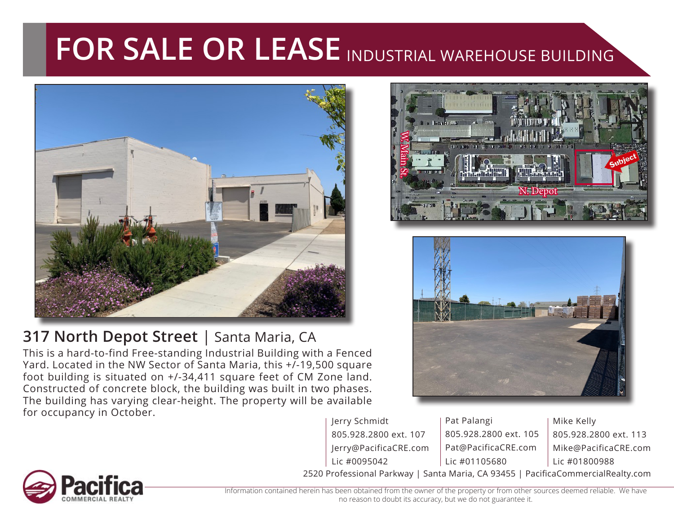## FOR SALE OR LEASE INDUSTRIAL WAREHOUSE BUILDING



## **317 North Depot Street** | Santa Maria, CA

This is a hard-to-find Free-standing Industrial Building with a Fenced Yard. Located in the NW Sector of Santa Maria, this +/-19,500 square foot building is situated on +/-34,411 square feet of CM Zone land. Constructed of concrete block, the building was built in two phases. The building has varying clear-height. The property will be available for occupancy in October.





Jerry Schmidt 805.928.2800 ext. 107 Jerry@PacificaCRE.com Lic #0095042

2520 Professional Parkway | Santa Maria, CA 93455 | PacificaCommercialRealty.com Pat Palangi 805.928.2800 ext. 105 Pat@PacificaCRE.com Lic #01105680

Mike Kelly 805.928.2800 ext. 113 Mike@PacificaCRE.com Lic #01800988



Information contained herein has been obtained from the owner of the property or from other sources deemed reliable. We have no reason to doubt its accuracy, but we do not guarantee it.